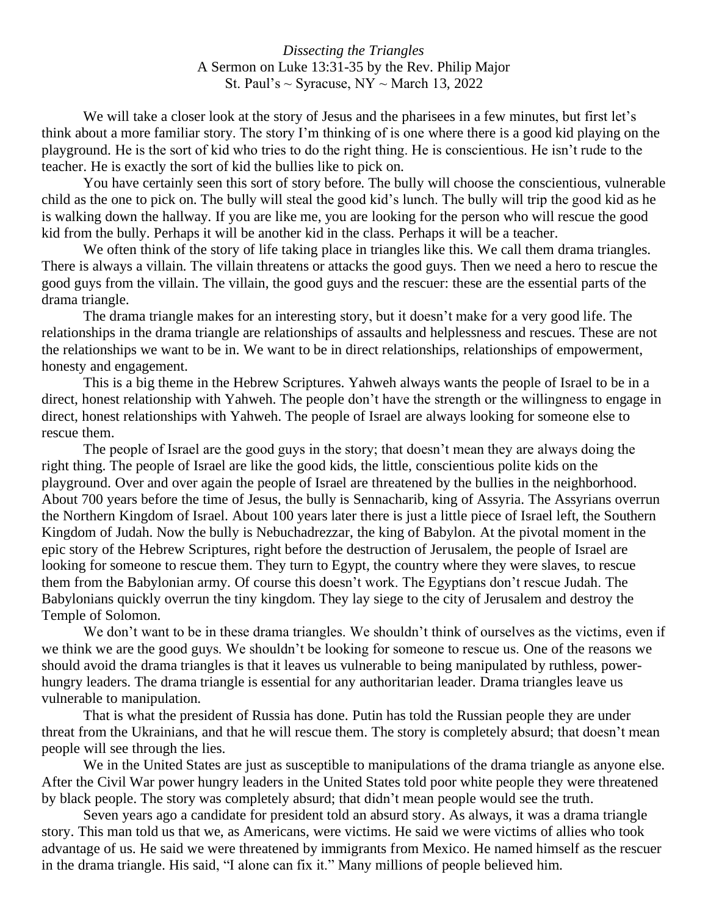*Dissecting the Triangles* A Sermon on Luke 13:31-35 by the Rev. Philip Major St. Paul's  $\sim$  Syracuse, NY  $\sim$  March 13, 2022

We will take a closer look at the story of Jesus and the pharisees in a few minutes, but first let's think about a more familiar story. The story I'm thinking of is one where there is a good kid playing on the playground. He is the sort of kid who tries to do the right thing. He is conscientious. He isn't rude to the teacher. He is exactly the sort of kid the bullies like to pick on.

You have certainly seen this sort of story before. The bully will choose the conscientious, vulnerable child as the one to pick on. The bully will steal the good kid's lunch. The bully will trip the good kid as he is walking down the hallway. If you are like me, you are looking for the person who will rescue the good kid from the bully. Perhaps it will be another kid in the class. Perhaps it will be a teacher.

We often think of the story of life taking place in triangles like this. We call them drama triangles. There is always a villain. The villain threatens or attacks the good guys. Then we need a hero to rescue the good guys from the villain. The villain, the good guys and the rescuer: these are the essential parts of the drama triangle.

The drama triangle makes for an interesting story, but it doesn't make for a very good life. The relationships in the drama triangle are relationships of assaults and helplessness and rescues. These are not the relationships we want to be in. We want to be in direct relationships, relationships of empowerment, honesty and engagement.

This is a big theme in the Hebrew Scriptures. Yahweh always wants the people of Israel to be in a direct, honest relationship with Yahweh. The people don't have the strength or the willingness to engage in direct, honest relationships with Yahweh. The people of Israel are always looking for someone else to rescue them.

The people of Israel are the good guys in the story; that doesn't mean they are always doing the right thing. The people of Israel are like the good kids, the little, conscientious polite kids on the playground. Over and over again the people of Israel are threatened by the bullies in the neighborhood. About 700 years before the time of Jesus, the bully is Sennacharib, king of Assyria. The Assyrians overrun the Northern Kingdom of Israel. About 100 years later there is just a little piece of Israel left, the Southern Kingdom of Judah. Now the bully is Nebuchadrezzar, the king of Babylon. At the pivotal moment in the epic story of the Hebrew Scriptures, right before the destruction of Jerusalem, the people of Israel are looking for someone to rescue them. They turn to Egypt, the country where they were slaves, to rescue them from the Babylonian army. Of course this doesn't work. The Egyptians don't rescue Judah. The Babylonians quickly overrun the tiny kingdom. They lay siege to the city of Jerusalem and destroy the Temple of Solomon.

We don't want to be in these drama triangles. We shouldn't think of ourselves as the victims, even if we think we are the good guys. We shouldn't be looking for someone to rescue us. One of the reasons we should avoid the drama triangles is that it leaves us vulnerable to being manipulated by ruthless, powerhungry leaders. The drama triangle is essential for any authoritarian leader. Drama triangles leave us vulnerable to manipulation.

That is what the president of Russia has done. Putin has told the Russian people they are under threat from the Ukrainians, and that he will rescue them. The story is completely absurd; that doesn't mean people will see through the lies.

We in the United States are just as susceptible to manipulations of the drama triangle as anyone else. After the Civil War power hungry leaders in the United States told poor white people they were threatened by black people. The story was completely absurd; that didn't mean people would see the truth.

Seven years ago a candidate for president told an absurd story. As always, it was a drama triangle story. This man told us that we, as Americans, were victims. He said we were victims of allies who took advantage of us. He said we were threatened by immigrants from Mexico. He named himself as the rescuer in the drama triangle. His said, "I alone can fix it." Many millions of people believed him.